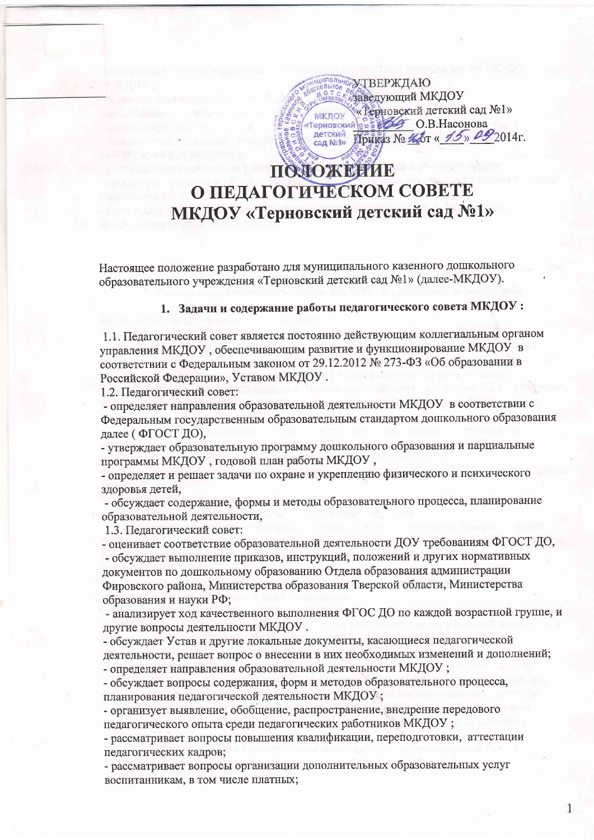**OF УТВЕРЖДАЮ** заведующий МКДОУ «Рерновский детский сад №1» МКЛОУ Герновский 2 2 2 0.В. Насонова детский<br>сад №1» Приказ № Нот « 15» 092014г.

## ПОЛОЖЕНИЕ О ПЕДАГОГИЧЕСКОМ СОВЕТЕ МКДОУ «Терновский детский сад №1»

Настоящее положение разработано для муниципального казенного дошкольного образовательного учреждения «Терновский детский сад №1» (далее-МКДОУ).

## 1. Задачи и содержание работы педагогического совета МКДОУ:

1.1. Педагогический совет является постоянно действующим коллегиальным органом управления МКДОУ, обеспечивающим развитие и функционирование МКДОУ в соответствии с Федеральным законом от 29.12.2012 № 273-ФЗ «Об образовании в Российской Федерации», Уставом МКДОУ.

1.2. Педагогический совет:

- определяет направления образовательной деятельности МКДОУ в соответствии с Федеральным государственным образовательным стандартом дошкольного образования далее (ФГОСТ ДО),

- утверждает образовательную программу дошкольного образования и парциальные программы МКДОУ, годовой план работы МКДОУ,

- определяет и решает задачи по охране и укреплению физического и психического здоровья детей,

- обсуждает содержание, формы и методы образовательного процесса, планирование образовательной деятельности,

1.3. Педагогический совет:

- оценивает соответствие образовательной деятельности ДОУ требованиям ФГОСТ ДО, - обсуждает выполнение приказов, инструкций, положений и других нормативных документов по дошкольному образованию Отдела образования администрации Фировского района, Министерства образования Тверской области, Министерства образования и науки РФ;

- анализирует ход качественного выполнения ФГОС ДО по каждой возрастной группе, и другие вопросы деятельности МКДОУ.

- обсуждает Устав и другие локальные документы, касающиеся педагогической деятельности, решает вопрос о внесении в них необходимых изменений и дополнений; - определяет направления образовательной деятельности МКДОУ;

- обсуждает вопросы содержания, форм и методов образовательного процесса, планирования педагогической деятельности МКДОУ;

- организует выявление, обобщение, распространение, внедрение передового педагогического опыта среди педагогических работников МКДОУ;

- рассматривает вопросы повышения квалификации, переподготовки, аттестации педагогических кадров;

- рассматривает вопросы организации дополнительных образовательных услуг воспитанникам, в том числе платных;

1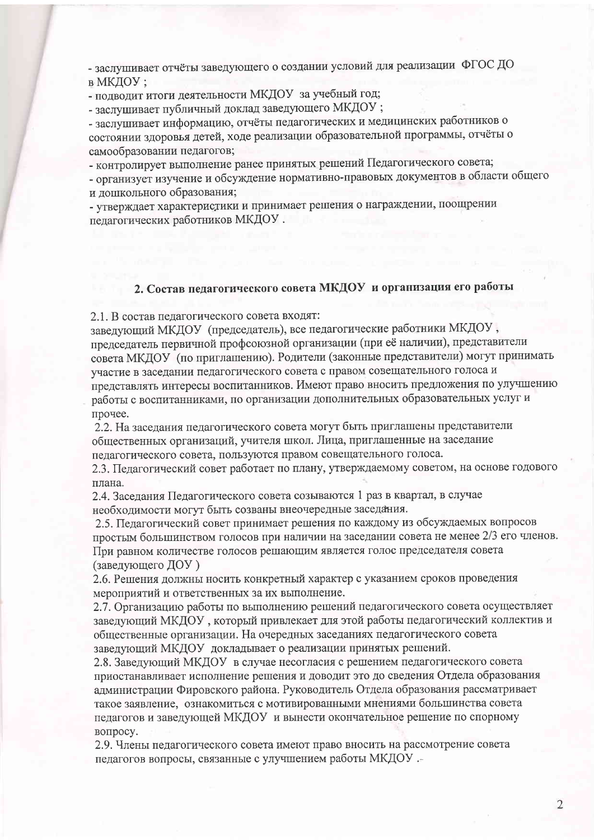- заслушивает отчёты заведующего о создании условий для реализации ФГОС ДО

в МКДОУ;

- подводит итоги деятельности МКДОУ за учебный год;

- заслушивает публичный доклад заведующего МКДОУ;

- заслушивает информацию, отчёты педагогических и медицинских работников о состоянии здоровья детей, ходе реализации образовательной программы, отчёты о самообразовании педагогов;

- контролирует выполнение ранее принятых решений Педагогического совета;

- организует изучение и обсуждение нормативно-правовых документов в области общего и дошкольного образования;

- утверждает характеристики и принимает решения о награждении, поощрении педагогических работников МКДОУ.

## 2. Состав педагогического совета МКДОУ и организация его работы

2.1. В состав педагогического совета входят:

заведующий МКДОУ (председатель), все педагогические работники МКДОУ, председатель первичной профсоюзной организации (при её наличии), представители совета МКДОУ (по приглашению). Родители (законные представители) могут принимать участие в заседании педагогического совета с правом совещательного голоса и представлять интересы воспитанников. Имеют право вносить предложения по улучшению работы с воспитанниками, по организации дополнительных образовательных услуг и прочее.

2.2. На заседания педагогического совета могут быть приглашены представители общественных организаций, учителя школ. Лица, приглашенные на заседание педагогического совета, пользуются правом совещательного голоса.

2.3. Педагогический совет работает по плану, утверждаемому советом, на основе годового плана.

2.4. Заседания Педагогического совета созываются 1 раз в квартал, в случае необходимости могут быть созваны внеочередные заседания.

2.5. Педагогический совет принимает решения по каждому из обсуждаемых вопросов простым большинством голосов при наличии на заседании совета не менее 2/3 его членов. При равном количестве голосов решающим является голос председателя совета (заведующего ДОУ)

2.6. Решения должны носить конкретный характер с указанием сроков проведения мероприятий и ответственных за их выполнение.

2.7. Организацию работы по выполнению решений педагогического совета осуществляет заведующий МКДОУ, который привлекает для этой работы педагогический коллектив и общественные организации. На очередных заседаниях педагогического совета заведующий МКДОУ докладывает о реализации принятых решений.

2.8. Заведующий МКДОУ в случае несогласия с решением педагогического совета приостанавливает исполнение решения и доводит это до сведения Отдела образования администрации Фировского района. Руководитель Отдела образования рассматривает такое заявление, ознакомиться с мотивированными мнениями большинства совета педагогов и заведующей МКДОУ и вынести окончательное решение по спорному вопросу.

2.9. Члены педагогического совета имеют право вносить на рассмотрение совета педагогов вопросы, связанные с улучшением работы МКДОУ .-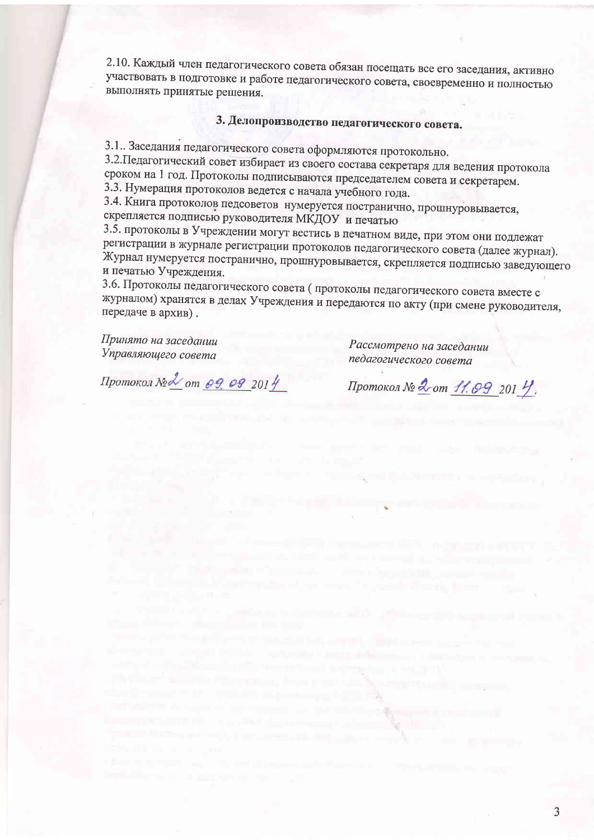2.10. Каждый член педагогического совета обязан посещать все его заседания, активно участвовать в подготовке и работе педагогического совета, своевременно и полностью выполнять принятые решения.

## 3. Делопроизводство педагогического совета.

3.1. Заседания педагогического совета оформляются протокольно.

3.2. Педагогический совет избирает из своего состава секретаря для ведения протокола сроком на 1 год. Протоколы подписываются председателем совета и секретарем. 3.3. Нумерация протоколов ведется с начала учебного года.

3.4. Книга протоколов педсоветов нумеруется постранично, прошнуровывается, скрепляется подписью руководителя МКДОУ и печатью

3.5. протоколы в Учреждении могут вестись в печатном виде, при этом они подлежат регистрации в журнале регистрации протоколов педагогического совета (далее журнал). Журнал нумеруется постранично, прошнуровывается, скрепляется подписью заведующего и печатью Учреждения.

3.6. Протоколы педагогического совета (протоколы педагогического совета вместе с журналом) хранятся в делах Учреждения и передаются по акту (при смене руководителя, передаче в архив).

the control of the company of the control of the control of the control of the control of the

from a personal or hardwide - \$prop-

The company of the company

Принято на заседании Управляющего совета

Рассмотрено на заседании педагогического совета

Протокол № 2 от 09.09 2014

Протокол № 2 от 11.09 201 У.